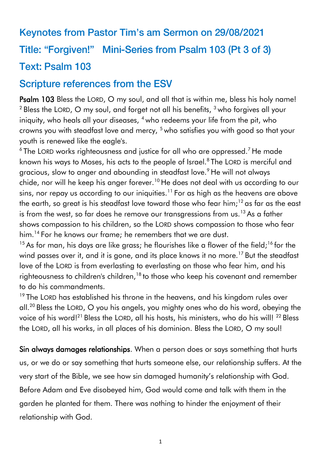## Keynotes from Pastor Tim's am Sermon on 29/08/2021 **Title: "Forgiven!"** Mini-Series from Psalm 103 (Pt 3 of 3) **Text: Psalm 103**

# **Scripture references from the ESV**

Psalm 103 Bless the LORD, O my soul, and all that is within me, bless his holy name!  $2$  Bless the LORD, O my soul, and forget not all his benefits,  $3$  who forgives all your iniquity, who heals all your diseases,  $4$  who redeems your life from the pit, who crowns you with steadfast love and mercy, <sup>5</sup> who satisfies you with good so that your youth is renewed like the eagle's.

 $^6$ The LORD works righteousness and justice for all who are oppressed.<sup>7</sup> He made known his ways to Moses, his acts to the people of Israel.<sup>8</sup> The LORD is merciful and gracious, slow to anger and abounding in steadfast love.<sup>9</sup> He will not always chide, nor will he keep his anger forever.<sup>10</sup> He does not deal with us according to our sins, nor repay us according to our iniquities.<sup>11</sup> For as high as the heavens are above the earth, so great is his steadfast love toward those who fear him;<sup>12</sup> as far as the east is from the west, so far does he remove our transgressions from  $us.^{13}$  As a father shows compassion to his children, so the LORD shows compassion to those who fear him.<sup>14</sup> For he knows our frame; he remembers that we are dust.

 $15$  As for man, his days are like grass; he flourishes like a flower of the field;  $16$  for the wind passes over it, and it is gone, and its place knows it no more.<sup>17</sup> But the steadfast love of the LORD is from everlasting to everlasting on those who fear him, and his righteousness to children's children,<sup>18</sup> to those who keep his covenant and remember to do his commandments.

<sup>19</sup> The LORD has established his throne in the heavens, and his kingdom rules over all.<sup>20</sup> Bless the LORD, O you his angels, you mighty ones who do his word, obeying the voice of his word!<sup>21</sup> Bless the LORD, all his hosts, his ministers, who do his will!<sup>22</sup> Bless the LORD, all his works, in all places of his dominion. Bless the LORD, O my soul!

Sin always damages relationships. When a person does or says something that hurts us, or we do or say something that hurts someone else, our relationship suffers. At the very start of the Bible, we see how sin damaged humanity's relationship with God. Before Adam and Eve disobeyed him, God would come and talk with them in the garden he planted for them. There was nothing to hinder the enjoyment of their relationship with God.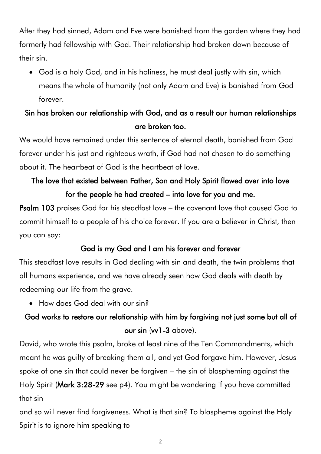After they had sinned, Adam and Eve were banished from the garden where they had formerly had fellowship with God. Their relationship had broken down because of their sin.

• God is a holy God, and in his holiness, he must deal justly with sin, which means the whole of humanity (not only Adam and Eve) is banished from God forever.

## Sin has broken our relationship with God, and as a result our human relationships are broken too.

We would have remained under this sentence of eternal death, banished from God forever under his just and righteous wrath, if God had not chosen to do something about it. The heartbeat of God is the heartbeat of love.

# The love that existed between Father, Son and Holy Spirit flowed over into love for the people he had created – into love for you and me.

Psalm 103 praises God for his steadfast love – the covenant love that caused God to commit himself to a people of his choice forever. If you are a believer in Christ, then you can say:

## God is my God and I am his forever and forever

This steadfast love results in God dealing with sin and death, the twin problems that all humans experience, and we have already seen how God deals with death by redeeming our life from the grave.

• How does God deal with our sin?

# God works to restore our relationship with him by forgiving not just some but all of our sin (vv1-3 above).

David, who wrote this psalm, broke at least nine of the Ten Commandments, which meant he was guilty of breaking them all, and yet God forgave him. However, Jesus spoke of one sin that could never be forgiven – the sin of blaspheming against the Holy Spirit (Mark 3:28-29 see p4). You might be wondering if you have committed that sin

and so will never find forgiveness. What is that sin? To blaspheme against the Holy Spirit is to ignore him speaking to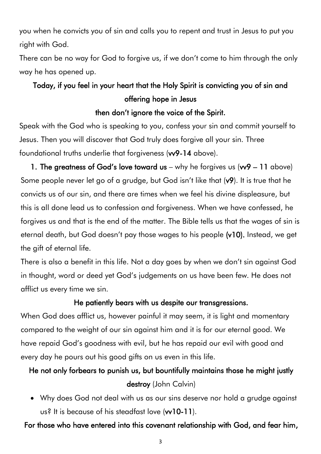you when he convicts you of sin and calls you to repent and trust in Jesus to put you right with God.

There can be no way for God to forgive us, if we don't come to him through the only way he has opened up.

# Today, if you feel in your heart that the Holy Spirit is convicting you of sin and offering hope in Jesus

### then don't ignore the voice of the Spirit.

Speak with the God who is speaking to you, confess your sin and commit yourself to Jesus. Then you will discover that God truly does forgive all your sin. Three foundational truths underlie that forgiveness (vv9-14 above).

1. The greatness of God's love toward us – why he forgives us  $(w9 - 11$  above) Some people never let go of a grudge, but God isn't like that (v9). It is true that he convicts us of our sin, and there are times when we feel his divine displeasure, but this is all done lead us to confession and forgiveness. When we have confessed, he forgives us and that is the end of the matter. The Bible tells us that the wages of sin is eternal death, but God doesn't pay those wages to his people (v10). Instead, we get the gift of eternal life.

There is also a benefit in this life. Not a day goes by when we don't sin against God in thought, word or deed yet God's judgements on us have been few. He does not afflict us every time we sin.

#### He patiently bears with us despite our transgressions.

When God does afflict us, however painful it may seem, it is light and momentary compared to the weight of our sin against him and it is for our eternal good. We have repaid God's goodness with evil, but he has repaid our evil with good and every day he pours out his good gifts on us even in this life.

## He not only forbears to punish us, but bountifully maintains those he might justly destroy (John Calvin)

• Why does God not deal with us as our sins deserve nor hold a grudge against us? It is because of his steadfast love (w10-11).

### For those who have entered into this covenant relationship with God, and fear him,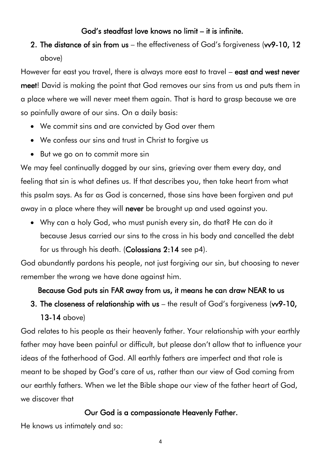### God's steadfast love knows no limit – it is infinite.

2. The distance of sin from us – the effectiveness of God's forgiveness (vv9-10, 12 above)

However far east you travel, there is always more east to travel – east and west never meet! David is making the point that God removes our sins from us and puts them in a place where we will never meet them again. That is hard to grasp because we are so painfully aware of our sins. On a daily basis:

- We commit sins and are convicted by God over them
- We confess our sins and trust in Christ to forgive us
- But we go on to commit more sin

We may feel continually dogged by our sins, grieving over them every day, and feeling that sin is what defines us. If that describes you, then take heart from what this psalm says. As far as God is concerned, those sins have been forgiven and put away in a place where they will never be brought up and used against you.

• Why can a holy God, who must punish every sin, do that? He can do it because Jesus carried our sins to the cross in his body and cancelled the debt for us through his death. (Colossians 2:14 see p4).

God abundantly pardons his people, not just forgiving our sin, but choosing to never remember the wrong we have done against him.

## Because God puts sin FAR away from us, it means he can draw NEAR to us

3. The closeness of relationship with us – the result of God's forgiveness (vv9-10, 13-14 above)

God relates to his people as their heavenly father. Your relationship with your earthly father may have been painful or difficult, but please don't allow that to influence your ideas of the fatherhood of God. All earthly fathers are imperfect and that role is meant to be shaped by God's care of us, rather than our view of God coming from our earthly fathers. When we let the Bible shape our view of the father heart of God, we discover that

## Our God is a compassionate Heavenly Father.

He knows us intimately and so: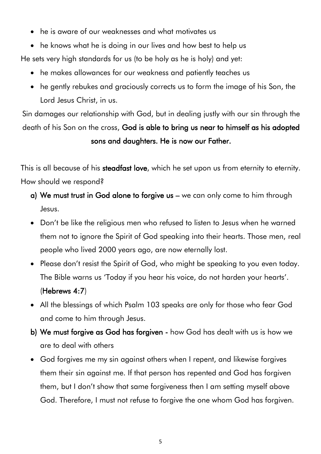- he is aware of our weaknesses and what motivates us
- he knows what he is doing in our lives and how best to help us He sets very high standards for us (to be holy as he is holy) and yet:
	- he makes allowances for our weakness and patiently teaches us
	- he gently rebukes and graciously corrects us to form the image of his Son, the Lord Jesus Christ, in us.

Sin damages our relationship with God, but in dealing justly with our sin through the death of his Son on the cross, God is able to bring us near to himself as his adopted sons and daughters. He is now our Father.

This is all because of his steadfast love, which he set upon us from eternity to eternity. How should we respond?

- a) We must trust in God alone to forgive us we can only come to him through Jesus.
- Don't be like the religious men who refused to listen to Jesus when he warned them not to ignore the Spirit of God speaking into their hearts. Those men, real people who lived 2000 years ago, are now eternally lost.
- Please don't resist the Spirit of God, who might be speaking to you even today. The Bible warns us 'Today if you hear his voice, do not harden your hearts'. (Hebrews 4:7)
- All the blessings of which Psalm 103 speaks are only for those who fear God and come to him through Jesus.
- b) We must forgive as God has forgiven how God has dealt with us is how we are to deal with others
- God forgives me my sin against others when I repent, and likewise forgives them their sin against me. If that person has repented and God has forgiven them, but I don't show that same forgiveness then I am setting myself above God. Therefore, I must not refuse to forgive the one whom God has forgiven.